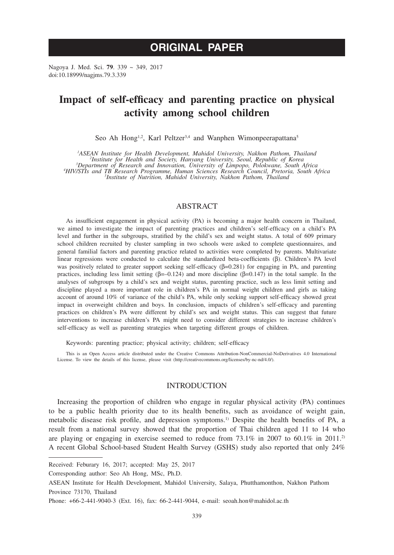# **ORIGINAL PAPER**

Nagoya J. Med. Sci. **79**. 339 ~ 349, 2017 doi:10.18999/nagjms.79.3.339

# **Impact of self-efficacy and parenting practice on physical activity among school children**

Seo Ah Hong<sup>1,2</sup>, Karl Peltzer<sup>3,4</sup> and Wanphen Wimonpeerapattana<sup>5</sup>

<sup>1</sup>ASEAN Institute for Health Development, Mahidol University, Nakhon Pathom, Thailand <sup>1</sup>ASEAN Institute for Health Development, Mahidol University, Nakhon Pathom, Thailand<br><sup>2</sup>Institute for Health and Society, Hanyang University, Seoul, Republic of Korea<sup>3</sup><br><sup>3</sup>Department of Research and Innovation, Universi *Institute of Nutrition, Mahidol University, Nakhon Pathom, Thailand*

## ABSTRACT

As insufficient engagement in physical activity (PA) is becoming a major health concern in Thailand, we aimed to investigate the impact of parenting practices and children's self-efficacy on a child's PA level and further in the subgroups, stratified by the child's sex and weight status. A total of 609 primary school children recruited by cluster sampling in two schools were asked to complete questionnaires, and general familial factors and parenting practice related to activities were completed by parents. Multivariate linear regressions were conducted to calculate the standardized beta-coefficients ( $\beta$ ). Children's PA level was positively related to greater support seeking self-efficacy ( $\beta$ =0.281) for engaging in PA, and parenting practices, including less limit setting  $(\beta=-0.124)$  and more discipline  $(\beta=0.147)$  in the total sample. In the analyses of subgroups by a child's sex and weight status, parenting practice, such as less limit setting and discipline played a more important role in children's PA in normal weight children and girls as taking account of around 10% of variance of the child's PA, while only seeking support self-efficacy showed great impact in overweight children and boys. In conclusion, impacts of children's self-efficacy and parenting practices on children's PA were different by child's sex and weight status. This can suggest that future interventions to increase children's PA might need to consider different strategies to increase children's self-efficacy as well as parenting strategies when targeting different groups of children.

Keywords: parenting practice; physical activity; children; self-efficacy

This is an Open Access article distributed under the Creative Commons Attribution-NonCommercial-NoDerivatives 4.0 International License. To view the details of this license, please visit (http://creativecommons.org/licenses/by-nc-nd/4.0/).

# INTRODUCTION

Increasing the proportion of children who engage in regular physical activity (PA) continues to be a public health priority due to its health benefits, such as avoidance of weight gain, metabolic disease risk profile, and depression symptoms.1) Despite the health benefits of PA, a result from a national survey showed that the proportion of Thai children aged 11 to 14 who are playing or engaging in exercise seemed to reduce from 73.1% in 2007 to 60.1% in 2011.<sup>2)</sup> A recent Global School-based Student Health Survey (GSHS) study also reported that only 24%

Corresponding author: Seo Ah Hong, MSc, Ph.D.

Received: Feburary 16, 2017; accepted: May 25, 2017

ASEAN Institute for Health Development, Mahidol University, Salaya, Phutthamonthon, Nakhon Pathom Province 73170, Thailand

Phone: +66-2-441-9040-3 (Ext. 16), fax: 66-2-441-9044, e-mail: seoah.hon@mahidol.ac.th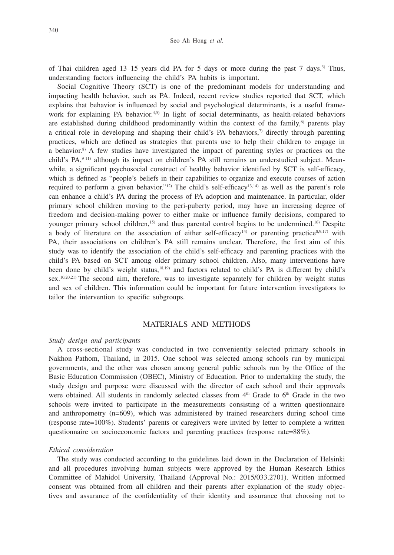of Thai children aged 13–15 years did PA for 5 days or more during the past 7 days.3) Thus, understanding factors influencing the child's PA habits is important.

Social Cognitive Theory (SCT) is one of the predominant models for understanding and impacting health behavior, such as PA. Indeed, recent review studies reported that SCT, which explains that behavior is influenced by social and psychological determinants, is a useful framework for explaining PA behavior.<sup>4,5)</sup> In light of social determinants, as health-related behaviors are established during childhood predominantly within the context of the family, $6$  parents play a critical role in developing and shaping their child's PA behaviors, $\eta$  directly through parenting practices, which are defined as strategies that parents use to help their children to engage in a behavior.8) A few studies have investigated the impact of parenting styles or practices on the child's PA,<sup>9-11)</sup> although its impact on children's PA still remains an understudied subject. Meanwhile, a significant psychosocial construct of healthy behavior identified by SCT is self-efficacy, which is defined as "people's beliefs in their capabilities to organize and execute courses of action required to perform a given behavior."<sup>12)</sup> The child's self-efficacy<sup>13,14)</sup> as well as the parent's role can enhance a child's PA during the process of PA adoption and maintenance. In particular, older primary school children moving to the peri-puberty period, may have an increasing degree of freedom and decision-making power to either make or influence family decisions, compared to younger primary school children,<sup>15)</sup> and thus parental control begins to be undermined.<sup>16)</sup> Despite a body of literature on the association of either self-efficacy<sup>14</sup> or parenting practice<sup>8,9,17</sup>) with PA, their associations on children's PA still remains unclear. Therefore, the first aim of this study was to identify the association of the child's self-efficacy and parenting practices with the child's PA based on SCT among older primary school children. Also, many interventions have been done by child's weight status,<sup>18,19</sup>) and factors related to child's PA is different by child's sex.<sup>10,20,21)</sup> The second aim, therefore, was to investigate separately for children by weight status and sex of children. This information could be important for future intervention investigators to tailor the intervention to specific subgroups.

### MATERIALS AND METHODS

#### *Study design and participants*

A cross-sectional study was conducted in two conveniently selected primary schools in Nakhon Pathom, Thailand, in 2015. One school was selected among schools run by municipal governments, and the other was chosen among general public schools run by the Office of the Basic Education Commission (OBEC), Ministry of Education. Prior to undertaking the study, the study design and purpose were discussed with the director of each school and their approvals were obtained. All students in randomly selected classes from 4<sup>th</sup> Grade to 6<sup>th</sup> Grade in the two schools were invited to participate in the measurements consisting of a written questionnaire and anthropometry (n=609), which was administered by trained researchers during school time (response rate=100%). Students' parents or caregivers were invited by letter to complete a written questionnaire on socioeconomic factors and parenting practices (response rate=88%).

#### *Ethical consideration*

The study was conducted according to the guidelines laid down in the Declaration of Helsinki and all procedures involving human subjects were approved by the Human Research Ethics Committee of Mahidol University, Thailand (Approval No.: 2015/033.2701). Written informed consent was obtained from all children and their parents after explanation of the study objectives and assurance of the confidentiality of their identity and assurance that choosing not to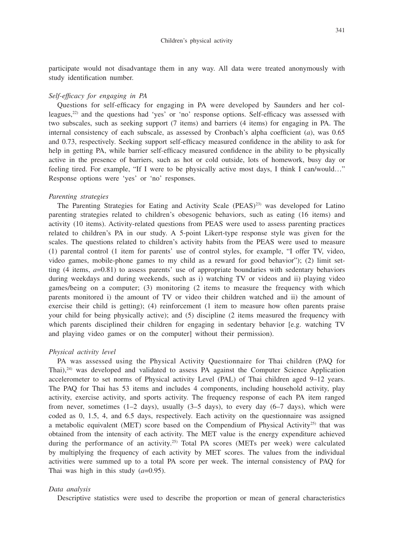participate would not disadvantage them in any way. All data were treated anonymously with study identification number.

#### *Self-efficacy for engaging in PA*

Questions for self-efficacy for engaging in PA were developed by Saunders and her colleagues,22) and the questions had 'yes' or 'no' response options. Self-efficacy was assessed with two subscales, such as seeking support (7 items) and barriers (4 items) for engaging in PA. The internal consistency of each subscale, as assessed by Cronbach's alpha coefficient (*a*), was 0.65 and 0.73, respectively. Seeking support self-efficacy measured confidence in the ability to ask for help in getting PA, while barrier self-efficacy measured confidence in the ability to be physically active in the presence of barriers, such as hot or cold outside, lots of homework, busy day or feeling tired. For example, "If I were to be physically active most days, I think I can/would…" Response options were 'yes' or 'no' responses.

### *Parenting strategies*

The Parenting Strategies for Eating and Activity Scale (PEAS)<sup>23)</sup> was developed for Latino parenting strategies related to children's obesogenic behaviors, such as eating (16 items) and activity (10 items). Activity-related questions from PEAS were used to assess parenting practices related to children's PA in our study. A 5-point Likert-type response style was given for the scales. The questions related to children's activity habits from the PEAS were used to measure (1) parental control (1 item for parents' use of control styles, for example, "I offer TV, video, video games, mobile-phone games to my child as a reward for good behavior"); (2) limit setting  $(4 \text{ items}, a=0.81)$  to assess parents' use of appropriate boundaries with sedentary behaviors during weekdays and during weekends, such as i) watching TV or videos and ii) playing video games/being on a computer; (3) monitoring (2 items to measure the frequency with which parents monitored i) the amount of TV or video their children watched and ii) the amount of exercise their child is getting); (4) reinforcement (1 item to measure how often parents praise your child for being physically active); and (5) discipline (2 items measured the frequency with which parents disciplined their children for engaging in sedentary behavior [e.g. watching TV and playing video games or on the computer] without their permission).

### *Physical activity level*

PA was assessed using the Physical Activity Questionnaire for Thai children (PAQ for Thai), $24$  was developed and validated to assess PA against the Computer Science Application accelerometer to set norms of Physical activity Level (PAL) of Thai children aged 9–12 years. The PAQ for Thai has 53 items and includes 4 components, including household activity, play activity, exercise activity, and sports activity. The frequency response of each PA item ranged from never, sometimes  $(1-2 \text{ days})$ , usually  $(3-5 \text{ days})$ , to every day  $(6-7 \text{ days})$ , which were coded as 0, 1.5, 4, and 6.5 days, respectively. Each activity on the questionnaire was assigned a metabolic equivalent (MET) score based on the Compendium of Physical Activity<sup>25)</sup> that was obtained from the intensity of each activity. The MET value is the energy expenditure achieved during the performance of an activity.<sup>25)</sup> Total PA scores (METs per week) were calculated by multiplying the frequency of each activity by MET scores. The values from the individual activities were summed up to a total PA score per week. The internal consistency of PAQ for Thai was high in this study  $(a=0.95)$ .

#### *Data analysis*

Descriptive statistics were used to describe the proportion or mean of general characteristics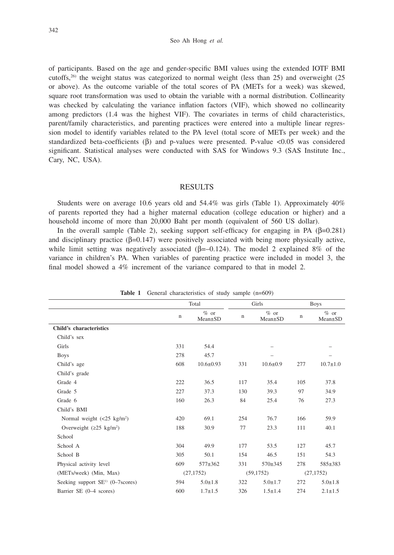of participants. Based on the age and gender-specific BMI values using the extended IOTF BMI cutoffs,<sup>26)</sup> the weight status was categorized to normal weight (less than 25) and overweight (25) or above). As the outcome variable of the total scores of PA (METs for a week) was skewed, square root transformation was used to obtain the variable with a normal distribution. Collinearity was checked by calculating the variance inflation factors (VIF), which showed no collinearity among predictors (1.4 was the highest VIF). The covariates in terms of child characteristics, parent/family characteristics, and parenting practices were entered into a multiple linear regression model to identify variables related to the PA level (total score of METs per week) and the standardized beta-coefficients  $(\beta)$  and p-values were presented. P-value <0.05 was considered significant. Statistical analyses were conducted with SAS for Windows 9.3 (SAS Institute Inc., Cary, NC, USA).

### RESULTS

Students were on average 10.6 years old and 54.4% was girls (Table 1). Approximately 40% of parents reported they had a higher maternal education (college education or higher) and a household income of more than 20,000 Baht per month (equivalent of 560 US dollar).

In the overall sample (Table 2), seeking support self-efficacy for engaging in PA ( $\beta$ =0.281) and disciplinary practice  $(\beta=0.147)$  were positively associated with being more physically active, while limit setting was negatively associated ( $\beta$ =–0.124). The model 2 explained 8% of the variance in children's PA. When variables of parenting practice were included in model 3, the final model showed a 4% increment of the variance compared to that in model 2.

|                                      | Total       |                   | Girls      |                   | <b>Boys</b> |                   |
|--------------------------------------|-------------|-------------------|------------|-------------------|-------------|-------------------|
|                                      | $\mathbf n$ | $%$ or<br>Mean±SD | n          | $%$ or<br>Mean±SD | n           | $%$ or<br>Mean±SD |
| <b>Child's characteristics</b>       |             |                   |            |                   |             |                   |
| Child's sex                          |             |                   |            |                   |             |                   |
| Girls                                | 331         | 54.4              |            |                   |             |                   |
| <b>Boys</b>                          | 278         | 45.7              |            |                   |             |                   |
| Child's age                          | 608         | $10.6 \pm 0.93$   | 331        | $10.6 \pm 0.9$    | 277         | $10.7 \pm 1.0$    |
| Child's grade                        |             |                   |            |                   |             |                   |
| Grade 4                              | 222         | 36.5              | 117        | 35.4              | 105         | 37.8              |
| Grade 5                              | 227         | 37.3              | 130        | 39.3              | 97          | 34.9              |
| Grade 6                              | 160         | 26.3              | 84         | 25.4              | 76          | 27.3              |
| Child's BMI                          |             |                   |            |                   |             |                   |
| Normal weight $(<25 \text{ kg/m}^2)$ | 420         | 69.1              | 254        | 76.7              | 166         | 59.9              |
| Overweight $(225 \text{ kg/m}^2)$    | 188         | 30.9              | 77         | 23.3              | 111         | 40.1              |
| School                               |             |                   |            |                   |             |                   |
| School A                             | 304         | 49.9              | 177        | 53.5              | 127         | 45.7              |
| School B                             | 305         | 50.1              | 154        | 46.5              | 151         | 54.3              |
| Physical activity level              | 609         | 577±362           | 331        | $570 \pm 345$     | 278         | $585 \pm 383$     |
| (METs/week) (Min, Max)               |             | (27, 1752)        | (59, 1752) |                   | (27, 1752)  |                   |
| Seeking support $SE^{1}$ (0-7scores) | 594         | $5.0 \pm 1.8$     | 322        | $5.0 \pm 1.7$     | 272         | $5.0 \pm 1.8$     |
| Barrier SE (0-4 scores)              | 600         | $1.7 \pm 1.5$     | 326        | $1.5 \pm 1.4$     | 274         | $2.1 \pm 1.5$     |

**Table 1** General characteristics of study sample (n=609)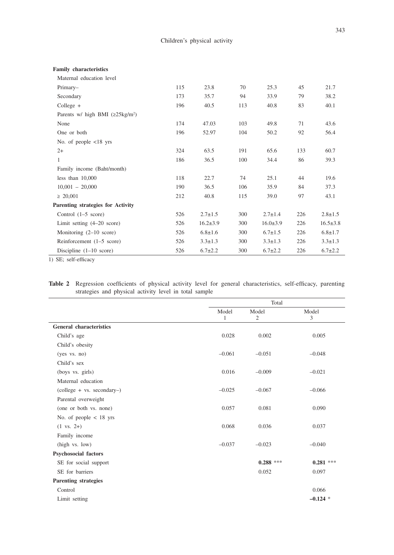# **Family characteristics**

| Maternal education level                      |     |                |     |                |     |                |
|-----------------------------------------------|-----|----------------|-----|----------------|-----|----------------|
| Primary-                                      | 115 | 23.8           | 70  | 25.3           | 45  | 21.7           |
| Secondary                                     | 173 | 35.7           | 94  | 33.9           | 79  | 38.2           |
| $Collect +$                                   | 196 | 40.5           | 113 | 40.8           | 83  | 40.1           |
| Parents w/ high BMI $(\geq 25 \text{kg/m}^2)$ |     |                |     |                |     |                |
| None                                          | 174 | 47.03          | 103 | 49.8           | 71  | 43.6           |
| One or both                                   | 196 | 52.97          | 104 | 50.2           | 92  | 56.4           |
| No. of people $\langle 18 \rangle$ yrs        |     |                |     |                |     |                |
| $2+$                                          | 324 | 63.5           | 191 | 65.6           | 133 | 60.7           |
| 1                                             | 186 | 36.5           | 100 | 34.4           | 86  | 39.3           |
| Family income (Baht/month)                    |     |                |     |                |     |                |
| less than $10,000$                            | 118 | 22.7           | 74  | 25.1           | 44  | 19.6           |
| $10,001 - 20,000$                             | 190 | 36.5           | 106 | 35.9           | 84  | 37.3           |
| $\geq 20,001$                                 | 212 | 40.8           | 115 | 39.0           | 97  | 43.1           |
| <b>Parenting strategies for Activity</b>      |     |                |     |                |     |                |
| Control $(1-5 \text{ score})$                 | 526 | $2.7 \pm 1.5$  | 300 | $2.7 \pm 1.4$  | 226 | $2.8 \pm 1.5$  |
| Limit setting $(4-20 \text{ score})$          | 526 | $16.2 \pm 3.9$ | 300 | $16.0 \pm 3.9$ | 226 | $16.5 \pm 3.8$ |
| Monitoring $(2-10 \text{ score})$             | 526 | $6.8 \pm 1.6$  | 300 | $6.7 \pm 1.5$  | 226 | $6.8 \pm 1.7$  |
| Reinforcement $(1-5 \text{ score})$           | 526 | $3.3 \pm 1.3$  | 300 | $3.3 \pm 1.3$  | 226 | $3.3 \pm 1.3$  |
| Discipline $(1-10 \text{ score})$             | 526 | $6.7 \pm 2.2$  | 300 | $6.7 \pm 2.2$  | 226 | $6.7 \pm 2.2$  |

1) SE; self-efficacy

**Table 2** Regression coefficients of physical activity level for general characteristics, self-efficacy, parenting strategies and physical activity level in total sample l,

|                                |            | Total                   |             |  |  |  |  |
|--------------------------------|------------|-------------------------|-------------|--|--|--|--|
|                                | Model<br>1 | Model<br>$\overline{2}$ | Model<br>3  |  |  |  |  |
| <b>General characteristics</b> |            |                         |             |  |  |  |  |
| Child's age                    | 0.028      | 0.002                   | 0.005       |  |  |  |  |
| Child's obesity                |            |                         |             |  |  |  |  |
| $(yes \ vs. no)$               | $-0.061$   | $-0.051$                | $-0.048$    |  |  |  |  |
| Child's sex                    |            |                         |             |  |  |  |  |
| (boys vs. girls)               | 0.016      | $-0.009$                | $-0.021$    |  |  |  |  |
| Maternal education             |            |                         |             |  |  |  |  |
| $(college + vs. secondary-)$   | $-0.025$   | $-0.067$                | $-0.066$    |  |  |  |  |
| Parental overweight            |            |                         |             |  |  |  |  |
| (one or both vs. none)         | 0.057      | 0.081                   | 0.090       |  |  |  |  |
| No. of people $< 18$ yrs       |            |                         |             |  |  |  |  |
| $(1 \text{ vs. } 2+)$          | 0.068      | 0.036                   | 0.037       |  |  |  |  |
| Family income                  |            |                         |             |  |  |  |  |
| (high vs. low)                 | $-0.037$   | $-0.023$                | $-0.040$    |  |  |  |  |
| <b>Psychosocial factors</b>    |            |                         |             |  |  |  |  |
| SE for social support          |            | $0.288$ ***             | $0.281$ *** |  |  |  |  |
| SE for barriers                |            | 0.052                   | 0.097       |  |  |  |  |
| <b>Parenting strategies</b>    |            |                         |             |  |  |  |  |
| Control                        |            |                         | 0.066       |  |  |  |  |
| Limit setting                  |            |                         | $-0.124$ *  |  |  |  |  |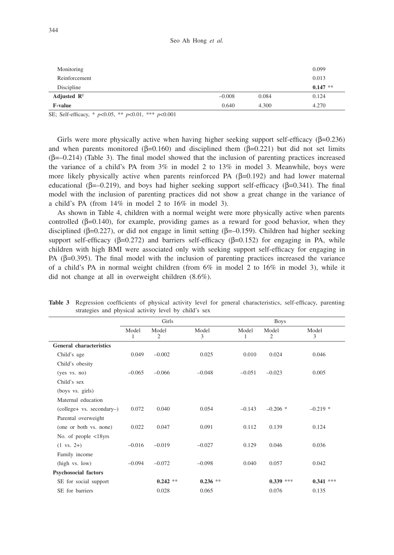Seo Ah Hong *et al.*

| Monitoring              |          |       | 0.099     |
|-------------------------|----------|-------|-----------|
| Reinforcement           |          |       | 0.013     |
| Discipline              |          |       | $0.147**$ |
| Adjusted $\mathbb{R}^2$ | $-0.008$ | 0.084 | 0.124     |
| <b>F-value</b>          | 0.640    | 4.300 | 4.270     |

SE; Self-efficacy, \* *p*<0.05, \*\* *p*<0.01, \*\*\* *p*<0.001

Girls were more physically active when having higher seeking support self-efficacy ( $\beta$ =0.236) and when parents monitored ( $\beta$ =0.160) and disciplined them ( $\beta$ =0.221) but did not set limits  $(\beta=-0.214)$  (Table 3). The final model showed that the inclusion of parenting practices increased the variance of a child's PA from 3% in model 2 to 13% in model 3. Meanwhile, boys were more likely physically active when parents reinforced PA  $(\beta=0.192)$  and had lower maternal educational ( $\beta$ =–0.219), and boys had higher seeking support self-efficacy ( $\beta$ =0.341). The final model with the inclusion of parenting practices did not show a great change in the variance of a child's PA (from 14% in model 2 to 16% in model 3).

As shown in Table 4, children with a normal weight were more physically active when parents controlled  $(\beta=0.140)$ , for example, providing games as a reward for good behavior, when they disciplined ( $\beta$ =0.227), or did not engage in limit setting ( $\beta$ =-0.159). Children had higher seeking support self-efficacy ( $\beta$ =0.272) and barriers self-efficacy ( $\beta$ =0.152) for engaging in PA, while children with high BMI were associated only with seeking support self-efficacy for engaging in PA  $(\beta=0.395)$ . The final model with the inclusion of parenting practices increased the variance of a child's PA in normal weight children (from 6% in model 2 to 16% in model 3), while it did not change at all in overweight children (8.6%).

|                                       | Girls      |            |            |            |             |             |
|---------------------------------------|------------|------------|------------|------------|-------------|-------------|
|                                       | Model<br>1 | Model<br>2 | Model<br>3 | Model<br>1 | Model<br>2  | Model<br>3  |
| <b>General characteristics</b>        |            |            |            |            |             |             |
| Child's age                           | 0.049      | $-0.002$   | 0.025      | 0.010      | 0.024       | 0.046       |
| Child's obesity                       |            |            |            |            |             |             |
| (yes vs. no)                          | $-0.065$   | $-0.066$   | $-0.048$   | $-0.051$   | $-0.023$    | 0.005       |
| Child's sex                           |            |            |            |            |             |             |
| (boys vs. girls)                      |            |            |            |            |             |             |
| Maternal education                    |            |            |            |            |             |             |
| (college+ vs. secondary-)             | 0.072      | 0.040      | 0.054      | $-0.143$   | $-0.206$ *  | $-0.219$ *  |
| Parental overweight                   |            |            |            |            |             |             |
| (one or both vs. none)                | 0.022      | 0.047      | 0.091      | 0.112      | 0.139       | 0.124       |
| No. of people $\langle 18 \rangle$ rs |            |            |            |            |             |             |
| $(1 \text{ vs. } 2+)$                 | $-0.016$   | $-0.019$   | $-0.027$   | 0.129      | 0.046       | 0.036       |
| Family income                         |            |            |            |            |             |             |
| (high vs. low)                        | $-0.094$   | $-0.072$   | $-0.098$   | 0.040      | 0.057       | 0.042       |
| <b>Psychosocial factors</b>           |            |            |            |            |             |             |
| SE for social support                 |            | $0.242$ ** | $0.236$ ** |            | $0.339$ *** | $0.341$ *** |
| SE for barriers                       |            | 0.028      | 0.065      |            | 0.076       | 0.135       |

**Table 3** Regression coefficients of physical activity level for general characteristics, self-efficacy, parenting strategies and physical activity level by child's sex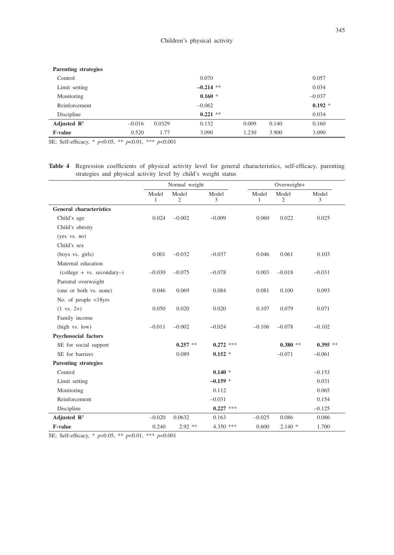## Children's physical activity

| <b>Parenting strategies</b> |          |        |             |       |       |           |
|-----------------------------|----------|--------|-------------|-------|-------|-----------|
| Control                     |          |        | 0.070       |       |       | 0.057     |
| Limit setting               |          |        | $-0.214$ ** |       |       | 0.034     |
| Monitoring                  |          |        | $0.160*$    |       |       | $-0.037$  |
| Reinforcement               |          |        | $-0.062$    |       |       | $0.192 *$ |
| Discipline                  |          |        | $0.221$ **  |       |       | 0.034     |
| Adjusted $\mathbb{R}^2$     | $-0.016$ | 0.0329 | 0.132       | 0.009 | 0.140 | 0.160     |
| <b>F-value</b>              | 0.520    | 1.77   | 3.090       | 1.230 | 3.900 | 3.090     |

SE; Self-efficacy, \* *p*<0.05, \*\* *p*<0.01, \*\*\* *p*<0.001

**Table 4** Regression coefficients of physical activity level for general characteristics, self-efficacy, parenting strategies and physical activity level by child's weight status

|                                       | Normal weight |            |             | Overweight+ |            |            |  |
|---------------------------------------|---------------|------------|-------------|-------------|------------|------------|--|
|                                       | Model<br>1    | Model<br>2 | Model<br>3  | Model<br>1  | Model<br>2 | Model<br>3 |  |
| <b>General characteristics</b>        |               |            |             |             |            |            |  |
| Child's age                           | 0.024         | $-0.002$   | $-0.009$    | 0.060       | 0.022      | 0.025      |  |
| Child's obesity                       |               |            |             |             |            |            |  |
| (yes vs. no)                          |               |            |             |             |            |            |  |
| Child's sex                           |               |            |             |             |            |            |  |
| (boys vs. girls)                      | 0.001         | $-0.032$   | $-0.037$    | 0.046       | 0.061      | 0.103      |  |
| Maternal education                    |               |            |             |             |            |            |  |
| (college + vs. secondary-)            | $-0.030$      | $-0.075$   | $-0.078$    | 0.003       | $-0.018$   | $-0.031$   |  |
| Parental overweight                   |               |            |             |             |            |            |  |
| (one or both vs. none)                | 0.046         | 0.069      | 0.084       | 0.081       | 0.100      | 0.093      |  |
| No. of people $\langle 18 \rangle$ rs |               |            |             |             |            |            |  |
| $(1 \text{ vs. } 2+)$                 | 0.050         | 0.020      | 0.020       | 0.107       | 0.079      | 0.071      |  |
| Family income                         |               |            |             |             |            |            |  |
| (high vs. low)                        | $-0.011$      | $-0.002$   | $-0.024$    | $-0.106$    | $-0.078$   | $-0.102$   |  |
| <b>Psychosocial factors</b>           |               |            |             |             |            |            |  |
| SE for social support                 |               | $0.257$ ** | $0.272$ *** |             | $0.380**$  | $0.395$ ** |  |
| SE for barriers                       |               | 0.089      | $0.152*$    |             | $-0.071$   | $-0.061$   |  |
| <b>Parenting strategies</b>           |               |            |             |             |            |            |  |
| Control                               |               |            | $0.140*$    |             |            | $-0.153$   |  |
| Limit setting                         |               |            | $-0.159$ *  |             |            | 0.031      |  |
| Monitoring                            |               |            | 0.112       |             |            | 0.065      |  |
| Reinforcement                         |               |            | $-0.031$    |             |            | 0.154      |  |
| Discipline                            |               |            | $0.227$ *** |             |            | $-0.125$   |  |
| Adjusted $\mathbb{R}^2$               | $-0.020$      | 0.0632     | 0.163       | $-0.025$    | 0.086      | 0.086      |  |
| <b>F-value</b>                        | 0.240         | $2.92$ **  | 4.350 ***   | 0.600       | $2.140*$   | 1.700      |  |

SE; Self-efficacy, \* *p*<0.05, \*\* *p*<0.01, \*\*\* *p*<0.001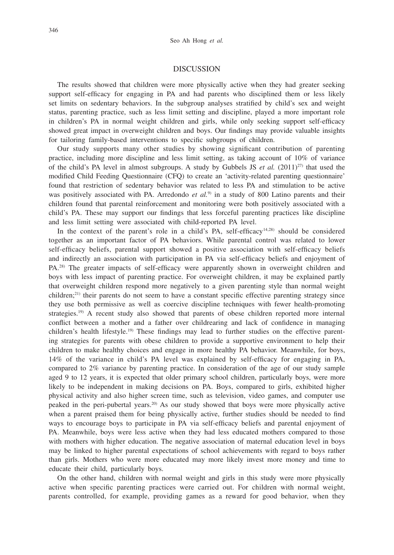## DISCUSSION

The results showed that children were more physically active when they had greater seeking support self-efficacy for engaging in PA and had parents who disciplined them or less likely set limits on sedentary behaviors. In the subgroup analyses stratified by child's sex and weight status, parenting practice, such as less limit setting and discipline, played a more important role in children's PA in normal weight children and girls, while only seeking support self-efficacy showed great impact in overweight children and boys. Our findings may provide valuable insights for tailoring family-based interventions to specific subgroups of children.

Our study supports many other studies by showing significant contribution of parenting practice, including more discipline and less limit setting, as taking account of 10% of variance of the child's PA level in almost subgroups. A study by Gubbels JS *et al.*  $(2011)^{27}$  that used the modified Child Feeding Questionnaire (CFQ) to create an 'activity-related parenting questionnaire' found that restriction of sedentary behavior was related to less PA and stimulation to be active was positively associated with PA. Arredondo *et al.*<sup>9)</sup> in a study of 800 Latino parents and their children found that parental reinforcement and monitoring were both positively associated with a child's PA. These may support our findings that less forceful parenting practices like discipline and less limit setting were associated with child-reported PA level.

In the context of the parent's role in a child's PA, self-efficacy<sup>14,28</sup>) should be considered together as an important factor of PA behaviors. While parental control was related to lower self-efficacy beliefs, parental support showed a positive association with self-efficacy beliefs and indirectly an association with participation in PA via self-efficacy beliefs and enjoyment of PA.<sup>28)</sup> The greater impacts of self-efficacy were apparently shown in overweight children and boys with less impact of parenting practice. For overweight children, it may be explained partly that overweight children respond more negatively to a given parenting style than normal weight children;<sup>21)</sup> their parents do not seem to have a constant specific effective parenting strategy since they use both permissive as well as coercive discipline techniques with fewer health-promoting strategies.<sup>19)</sup> A recent study also showed that parents of obese children reported more internal conflict between a mother and a father over childrearing and lack of confidence in managing children's health lifestyle.<sup>19)</sup> These findings may lead to further studies on the effective parenting strategies for parents with obese children to provide a supportive environment to help their children to make healthy choices and engage in more healthy PA behavior. Meanwhile, for boys, 14% of the variance in child's PA level was explained by self-efficacy for engaging in PA, compared to  $2\%$  variance by parenting practice. In consideration of the age of our study sample aged 9 to 12 years, it is expected that older primary school children, particularly boys, were more likely to be independent in making decisions on PA. Boys, compared to girls, exhibited higher physical activity and also higher screen time, such as television, video games, and computer use peaked in the peri-pubertal years.20) As our study showed that boys were more physically active when a parent praised them for being physically active, further studies should be needed to find ways to encourage boys to participate in PA via self-efficacy beliefs and parental enjoyment of PA. Meanwhile, boys were less active when they had less educated mothers compared to those with mothers with higher education. The negative association of maternal education level in boys may be linked to higher parental expectations of school achievements with regard to boys rather than girls. Mothers who were more educated may more likely invest more money and time to educate their child, particularly boys.

On the other hand, children with normal weight and girls in this study were more physically active when specific parenting practices were carried out. For children with normal weight, parents controlled, for example, providing games as a reward for good behavior, when they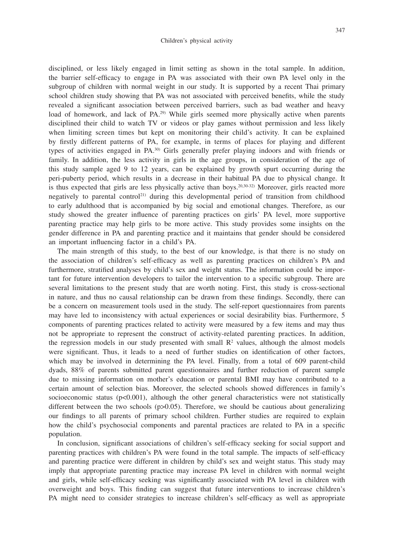disciplined, or less likely engaged in limit setting as shown in the total sample. In addition, the barrier self-efficacy to engage in PA was associated with their own PA level only in the subgroup of children with normal weight in our study. It is supported by a recent Thai primary school children study showing that PA was not associated with perceived benefits, while the study revealed a significant association between perceived barriers, such as bad weather and heavy load of homework, and lack of PA.<sup>29)</sup> While girls seemed more physically active when parents disciplined their child to watch TV or videos or play games without permission and less likely when limiting screen times but kept on monitoring their child's activity. It can be explained by firstly different patterns of PA, for example, in terms of places for playing and different types of activities engaged in PA.30) Girls generally prefer playing indoors and with friends or family. In addition, the less activity in girls in the age groups, in consideration of the age of this study sample aged 9 to 12 years, can be explained by growth spurt occurring during the peri-puberty period, which results in a decrease in their habitual PA due to physical change. It is thus expected that girls are less physically active than boys.20,30-32) Moreover, girls reacted more negatively to parental control<sup>21)</sup> during this developmental period of transition from childhood to early adulthood that is accompanied by big social and emotional changes. Therefore, as our study showed the greater influence of parenting practices on girls' PA level, more supportive parenting practice may help girls to be more active. This study provides some insights on the gender difference in PA and parenting practice and it maintains that gender should be considered an important influencing factor in a child's PA.

The main strength of this study, to the best of our knowledge, is that there is no study on the association of children's self-efficacy as well as parenting practices on children's PA and furthermore, stratified analyses by child's sex and weight status. The information could be important for future intervention developers to tailor the intervention to a specific subgroup. There are several limitations to the present study that are worth noting. First, this study is cross-sectional in nature, and thus no causal relationship can be drawn from these findings. Secondly, there can be a concern on measurement tools used in the study. The self-report questionnaires from parents may have led to inconsistency with actual experiences or social desirability bias. Furthermore, 5 components of parenting practices related to activity were measured by a few items and may thus not be appropriate to represent the construct of activity-related parenting practices. In addition, the regression models in our study presented with small  $R<sup>2</sup>$  values, although the almost models were significant. Thus, it leads to a need of further studies on identification of other factors, which may be involved in determining the PA level. Finally, from a total of 609 parent-child dyads, 88% of parents submitted parent questionnaires and further reduction of parent sample due to missing information on mother's education or parental BMI may have contributed to a certain amount of selection bias. Moreover, the selected schools showed differences in family's socioeconomic status ( $p<0.001$ ), although the other general characteristics were not statistically different between the two schools (p>0.05). Therefore, we should be cautious about generalizing our findings to all parents of primary school children. Further studies are required to explain how the child's psychosocial components and parental practices are related to PA in a specific population.

In conclusion, significant associations of children's self-efficacy seeking for social support and parenting practices with children's PA were found in the total sample. The impacts of self-efficacy and parenting practice were different in children by child's sex and weight status. This study may imply that appropriate parenting practice may increase PA level in children with normal weight and girls, while self-efficacy seeking was significantly associated with PA level in children with overweight and boys. This finding can suggest that future interventions to increase children's PA might need to consider strategies to increase children's self-efficacy as well as appropriate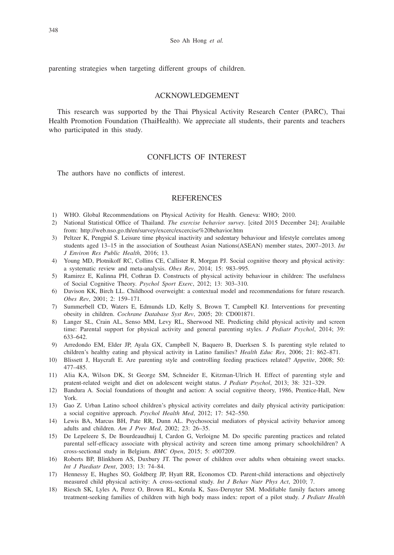parenting strategies when targeting different groups of children.

### ACKNOWLEDGEMENT

This research was supported by the Thai Physical Activity Research Center (PARC), Thai Health Promotion Foundation (ThaiHealth). We appreciate all students, their parents and teachers who participated in this study.

## CONFLICTS OF INTEREST

The authors have no conflicts of interest.

#### **REFERENCES**

- 1) WHO. Global Recommendations on Physical Activity for Health. Geneva: WHO; 2010.
- 2) National Statistical Office of Thailand. *The exercise behavior survey*. [cited 2015 December 24]; Available from: http://web.nso.go.th/en/survey/excerc/excercise%20behavior.htm
- 3) Peltzer K, Pengpid S. Leisure time physical inactivity and sedentary behaviour and lifestyle correlates among students aged 13–15 in the association of Southeast Asian Nations(ASEAN) member states, 2007–2013. *Int J Environ Res Public Health*, 2016; 13.
- 4) Young MD, Plotnikoff RC, Collins CE, Callister R, Morgan PJ. Social cognitive theory and physical activity: a systematic review and meta-analysis. *Obes Rev*, 2014; 15: 983–995.
- 5) Ramirez E, Kulinna PH, Cothran D. Constructs of physical activity behaviour in children: The usefulness of Social Cognitive Theory. *Psychol Sport Exerc*, 2012; 13: 303–310.
- 6) Davison KK, Birch LL. Childhood overweight: a contextual model and recommendations for future research. *Obes Rev*, 2001; 2: 159–171.
- 7) Summerbell CD, Waters E, Edmunds LD, Kelly S, Brown T, Campbell KJ. Interventions for preventing obesity in children. *Cochrane Database Syst Rev*, 2005; 20: CD001871.
- 8) Langer SL, Crain AL, Senso MM, Levy RL, Sherwood NE. Predicting child physical activity and screen time: Parental support for physical activity and general parenting styles. *J Pediatr Psychol*, 2014; 39: 633–642.
- 9) Arredondo EM, Elder JP, Ayala GX, Campbell N, Baquero B, Duerksen S. Is parenting style related to children's healthy eating and physical activity in Latino families? *Health Educ Res*, 2006; 21: 862–871.
- 10) Blissett J, Haycraft E. Are parenting style and controlling feeding practices related? *Appetite*, 2008; 50: 477–485.
- 11) Alia KA, Wilson DK, St George SM, Schneider E, Kitzman-Ulrich H. Effect of parenting style and pratent-related weight and diet on adolescent weight status. *J Pediatr Psychol*, 2013; 38: 321–329.
- 12) Bandura A. Social foundations of thought and action: A social cognitive theory, 1986, Prentice-Hall, New York.
- 13) Gao Z. Urban Latino school children's physical activity correlates and daily physical activity participation: a social cognitive approach. *Psychol Health Med*, 2012; 17: 542–550.
- 14) Lewis BA, Marcus BH, Pate RR, Dunn AL. Psychosocial mediators of physical activity behavior among adults and children. *Am J Prev Med*, 2002; 23: 26–35.
- 15) De Lepeleere S, De Bourdeaudhuij I, Cardon G, Verloigne M. Do specific parenting practices and related parental self-efficacy associate with physical activity and screen time among primary schoolchildren? A cross-sectional study in Belgium. *BMC Open*, 2015; 5: e007209.
- 16) Roberts BP, Blinkhorn AS, Duxbury JT. The power of children over adults when obtaining sweet snacks. *Int J Paediatr Dent*, 2003; 13: 74–84.
- 17) Hennessy E, Hughes SO, Goldberg JP, Hyatt RR, Economos CD. Parent-child interactions and objectively measured child physical activity: A cross-sectional study. *Int J Behav Nutr Phys Act*, 2010; 7.
- 18) Riesch SK, Lyles A, Perez O, Brown RL, Kotula K, Sass-Deruyter SM. Modifiable family factors among treatment-seeking families of children with high body mass index: report of a pilot study. *J Pediatr Health*